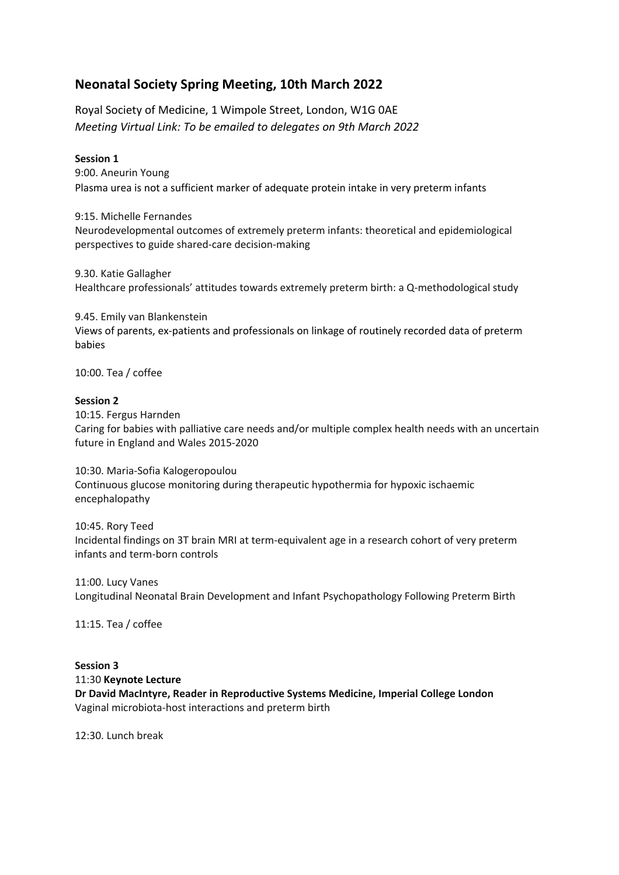# **Neonatal Society Spring Meeting, 10th March 2022**

Royal Society of Medicine, 1 Wimpole Street, London, W1G 0AE *Meeting Virtual Link: To be emailed to delegates on 9th March 2022*

# **Session 1**

9:00. Aneurin Young Plasma urea is not a sufficient marker of adequate protein intake in very preterm infants

9:15. Michelle Fernandes Neurodevelopmental outcomes of extremely preterm infants: theoretical and epidemiological perspectives to guide shared-care decision-making

9.30. Katie Gallagher Healthcare professionals' attitudes towards extremely preterm birth: a Q-methodological study

9.45. Emily van Blankenstein Views of parents, ex-patients and professionals on linkage of routinely recorded data of preterm babies

10:00. Tea / coffee

# **Session 2**

10:15. Fergus Harnden Caring for babies with palliative care needs and/or multiple complex health needs with an uncertain future in England and Wales 2015-2020

10:30. Maria-Sofia Kalogeropoulou Continuous glucose monitoring during therapeutic hypothermia for hypoxic ischaemic encephalopathy

10:45. Rory Teed Incidental findings on 3T brain MRI at term-equivalent age in a research cohort of very preterm infants and term-born controls

11:00. Lucy Vanes Longitudinal Neonatal Brain Development and Infant Psychopathology Following Preterm Birth

11:15. Tea / coffee

**Session 3** 11:30 **Keynote Lecture Dr David MacIntyre, Reader in Reproductive Systems Medicine, Imperial College London** Vaginal microbiota-host interactions and preterm birth

12:30. Lunch break